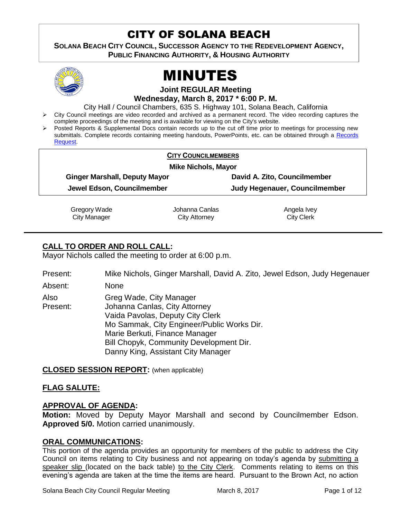# CITY OF SOLANA BEACH

**SOLANA BEACH CITY COUNCIL, SUCCESSOR AGENCY TO THE REDEVELOPMENT AGENCY, PUBLIC FINANCING AUTHORITY, & HOUSING AUTHORITY** 



# MINUTES

#### **Joint REGULAR Meeting Wednesday, March 8, 2017 \* 6:00 P. M.**

City Hall / Council Chambers, 635 S. Highway 101, Solana Beach, California

- $\triangleright$  City Council meetings are video recorded and archived as a permanent record. The video recording captures the complete proceedings of the meeting and is available for viewing on the City's website.
- Posted Reports & Supplemental Docs contain records up to the cut off time prior to meetings for processing new submittals. Complete records containing meeting handouts, PowerPoints, etc. can be obtained through a Records [Request.](http://www.ci.solana-beach.ca.us/index.asp?SEC=F5D45D10-70CE-4291-A27C-7BD633FC6742&Type=B_BASIC)

| <b>CITY COUNCILMEMBERS</b><br><b>Mike Nichols, Mayor</b> |                                      |
|----------------------------------------------------------|--------------------------------------|
|                                                          |                                      |
| Jewel Edson, Councilmember                               | <b>Judy Hegenauer, Councilmember</b> |

Gregory Wade City Manager

Johanna Canlas City Attorney

Angela Ivey City Clerk

# **CALL TO ORDER AND ROLL CALL:**

Mayor Nichols called the meeting to order at 6:00 p.m.

Present: Mike Nichols, Ginger Marshall, David A. Zito, Jewel Edson, Judy Hegenauer

Absent: None

Also Present: Greg Wade, City Manager Johanna Canlas, City Attorney Vaida Pavolas, Deputy City Clerk Mo Sammak, City Engineer/Public Works Dir. Marie Berkuti, Finance Manager Bill Chopyk, Community Development Dir. Danny King, Assistant City Manager

**CLOSED SESSION REPORT:** (when applicable)

# **FLAG SALUTE:**

# **APPROVAL OF AGENDA:**

**Motion:** Moved by Deputy Mayor Marshall and second by Councilmember Edson. **Approved 5/0.** Motion carried unanimously.

# **ORAL COMMUNICATIONS:**

This portion of the agenda provides an opportunity for members of the public to address the City Council on items relating to City business and not appearing on today's agenda by submitting a speaker slip (located on the back table) to the City Clerk. Comments relating to items on this evening's agenda are taken at the time the items are heard. Pursuant to the Brown Act, no action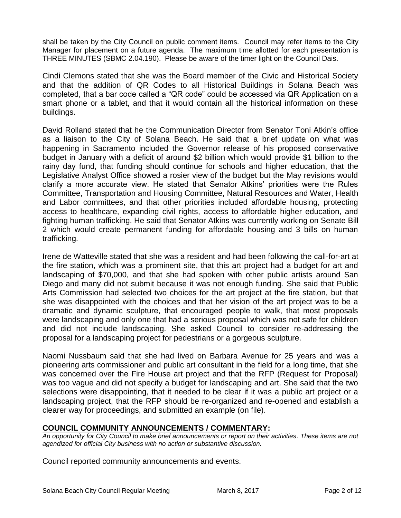shall be taken by the City Council on public comment items. Council may refer items to the City Manager for placement on a future agenda. The maximum time allotted for each presentation is THREE MINUTES (SBMC 2.04.190). Please be aware of the timer light on the Council Dais.

Cindi Clemons stated that she was the Board member of the Civic and Historical Society and that the addition of QR Codes to all Historical Buildings in Solana Beach was completed, that a bar code called a "QR code" could be accessed via QR Application on a smart phone or a tablet, and that it would contain all the historical information on these buildings.

David Rolland stated that he the Communication Director from Senator Toni Atkin's office as a liaison to the City of Solana Beach. He said that a brief update on what was happening in Sacramento included the Governor release of his proposed conservative budget in January with a deficit of around \$2 billion which would provide \$1 billion to the rainy day fund, that funding should continue for schools and higher education, that the Legislative Analyst Office showed a rosier view of the budget but the May revisions would clarify a more accurate view. He stated that Senator Atkins' priorities were the Rules Committee, Transportation and Housing Committee, Natural Resources and Water, Health and Labor committees, and that other priorities included affordable housing, protecting access to healthcare, expanding civil rights, access to affordable higher education, and fighting human trafficking. He said that Senator Atkins was currently working on Senate Bill 2 which would create permanent funding for affordable housing and 3 bills on human trafficking.

Irene de Watteville stated that she was a resident and had been following the call-for-art at the fire station, which was a prominent site, that this art project had a budget for art and landscaping of \$70,000, and that she had spoken with other public artists around San Diego and many did not submit because it was not enough funding. She said that Public Arts Commission had selected two choices for the art project at the fire station, but that she was disappointed with the choices and that her vision of the art project was to be a dramatic and dynamic sculpture, that encouraged people to walk, that most proposals were landscaping and only one that had a serious proposal which was not safe for children and did not include landscaping. She asked Council to consider re-addressing the proposal for a landscaping project for pedestrians or a gorgeous sculpture.

Naomi Nussbaum said that she had lived on Barbara Avenue for 25 years and was a pioneering arts commissioner and public art consultant in the field for a long time, that she was concerned over the Fire House art project and that the RFP (Request for Proposal) was too vague and did not specify a budget for landscaping and art. She said that the two selections were disappointing, that it needed to be clear if it was a public art project or a landscaping project, that the RFP should be re-organized and re-opened and establish a clearer way for proceedings, and submitted an example (on file).

# **COUNCIL COMMUNITY ANNOUNCEMENTS / COMMENTARY:**

*An opportunity for City Council to make brief announcements or report on their activities. These items are not agendized for official City business with no action or substantive discussion.* 

Council reported community announcements and events.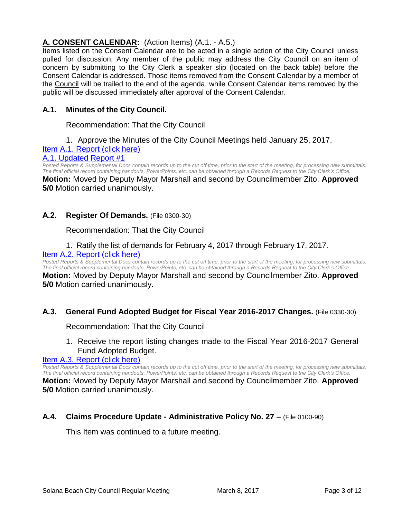# **A. CONSENT CALENDAR:** (Action Items) (A.1. - A.5.)

Items listed on the Consent Calendar are to be acted in a single action of the City Council unless pulled for discussion. Any member of the public may address the City Council on an item of concern by submitting to the City Clerk a speaker slip (located on the back table) before the Consent Calendar is addressed. Those items removed from the Consent Calendar by a member of the Council will be trailed to the end of the agenda, while Consent Calendar items removed by the public will be discussed immediately after approval of the Consent Calendar.

# **A.1. Minutes of the City Council.**

Recommendation: That the City Council

1. Approve the Minutes of the City Council Meetings held January 25, 2017.

# [Item A.1. Report \(click here\)](https://solanabeach.govoffice3.com/vertical/Sites/%7B840804C2-F869-4904-9AE3-720581350CE7%7D/uploads/Item_A.1._Report_(click_here)_3-8-17.PDF)

#### [A.1. Updated Report #1](https://solanabeach.govoffice3.com/vertical/Sites/%7B840804C2-F869-4904-9AE3-720581350CE7%7D/uploads/A.1._Updated_Report_1_3-8-17.pdf)

*Posted Reports & Supplemental Docs contain records up to the cut off time, prior to the start of the meeting, for processing new submittals. The final official record containing handouts, PowerPoints, etc. can be obtained through a Records Request to the City Clerk's Office.* **Motion:** Moved by Deputy Mayor Marshall and second by Councilmember Zito. **Approved** 

**5/0** Motion carried unanimously.

#### **A.2. Register Of Demands.** (File 0300-30)

Recommendation: That the City Council

# 1. Ratify the list of demands for February 4, 2017 through February 17, 2017.

#### [Item A.2. Report \(click here\)](https://solanabeach.govoffice3.com/vertical/Sites/%7B840804C2-F869-4904-9AE3-720581350CE7%7D/uploads/Item_A.2._Report_(click_here)_3-8-17.PDF)

**Posted Reports & Supplemental Docs contain records up to the cut off time, prior to the start of the meeting, for processing new submittals.** *The final official record containing handouts, PowerPoints, etc. can be obtained through a Records Request to the City Clerk's Office.* **Motion:** Moved by Deputy Mayor Marshall and second by Councilmember Zito. **Approved 5/0** Motion carried unanimously.

# **A.3. General Fund Adopted Budget for Fiscal Year 2016-2017 Changes.** (File 0330-30)

# Recommendation: That the City Council

1. Receive the report listing changes made to the Fiscal Year 2016-2017 General Fund Adopted Budget.

# [Item A.3. Report \(click here\)](https://solanabeach.govoffice3.com/vertical/Sites/%7B840804C2-F869-4904-9AE3-720581350CE7%7D/uploads/Item_A.3._Report_(click_here)_3-8-17.PDF)

*Posted Reports & Supplemental Docs contain records up to the cut off time, prior to the start of the meeting, for processing new submittals. The final official record containing handouts, PowerPoints, etc. can be obtained through a Records Request to the City Clerk's Office.*

**Motion:** Moved by Deputy Mayor Marshall and second by Councilmember Zito. **Approved 5/0** Motion carried unanimously.

# **A.4. Claims Procedure Update - Administrative Policy No. 27 –** (File 0100-90)

This Item was continued to a future meeting.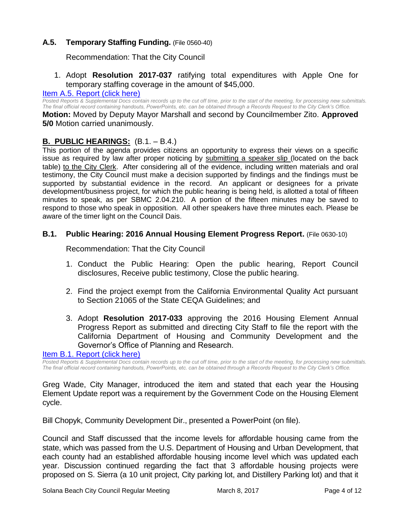# **A.5. Temporary Staffing Funding.** (File 0560-40)

Recommendation: That the City Council

# 1. Adopt **Resolution 2017-037** ratifying total expenditures with Apple One for temporary staffing coverage in the amount of \$45,000.

#### Item A.5. [Report \(click here\)](https://solanabeach.govoffice3.com/vertical/Sites/%7B840804C2-F869-4904-9AE3-720581350CE7%7D/uploads/Item_A.5._Report_(click_here)_3-8-17.PDF)

*Posted Reports & Supplemental Docs contain records up to the cut off time, prior to the start of the meeting, for processing new submittals. The final official record containing handouts, PowerPoints, etc. can be obtained through a Records Request to the City Clerk's Office.*

**Motion:** Moved by Deputy Mayor Marshall and second by Councilmember Zito. **Approved 5/0** Motion carried unanimously.

# **B. PUBLIC HEARINGS:** (B.1. – B.4.)

This portion of the agenda provides citizens an opportunity to express their views on a specific issue as required by law after proper noticing by submitting a speaker slip (located on the back table) to the City Clerk. After considering all of the evidence, including written materials and oral testimony, the City Council must make a decision supported by findings and the findings must be supported by substantial evidence in the record. An applicant or designees for a private development/business project, for which the public hearing is being held, is allotted a total of fifteen minutes to speak, as per SBMC 2.04.210. A portion of the fifteen minutes may be saved to respond to those who speak in opposition. All other speakers have three minutes each. Please be aware of the timer light on the Council Dais.

#### **B.1. Public Hearing: 2016 Annual Housing Element Progress Report.** (File 0630-10)

Recommendation: That the City Council

- 1. Conduct the Public Hearing: Open the public hearing, Report Council disclosures, Receive public testimony, Close the public hearing.
- 2. Find the project exempt from the California Environmental Quality Act pursuant to Section 21065 of the State CEQA Guidelines; and
- 3. Adopt **Resolution 2017-033** approving the 2016 Housing Element Annual Progress Report as submitted and directing City Staff to file the report with the California Department of Housing and Community Development and the Governor's Office of Planning and Research.

#### [Item B.1. Report \(click here\)](https://solanabeach.govoffice3.com/vertical/Sites/%7B840804C2-F869-4904-9AE3-720581350CE7%7D/uploads/Item_B.1._Report_(click_here)_3-8-17.PDF)

*Posted Reports & Supplemental Docs contain records up to the cut off time, prior to the start of the meeting, for processing new submittals. The final official record containing handouts, PowerPoints, etc. can be obtained through a Records Request to the City Clerk's Office.*

Greg Wade, City Manager, introduced the item and stated that each year the Housing Element Update report was a requirement by the Government Code on the Housing Element cycle.

Bill Chopyk, Community Development Dir., presented a PowerPoint (on file).

Council and Staff discussed that the income levels for affordable housing came from the state, which was passed from the U.S. Department of Housing and Urban Development, that each county had an established affordable housing income level which was updated each year. Discussion continued regarding the fact that 3 affordable housing projects were proposed on S. Sierra (a 10 unit project, City parking lot, and Distillery Parking lot) and that it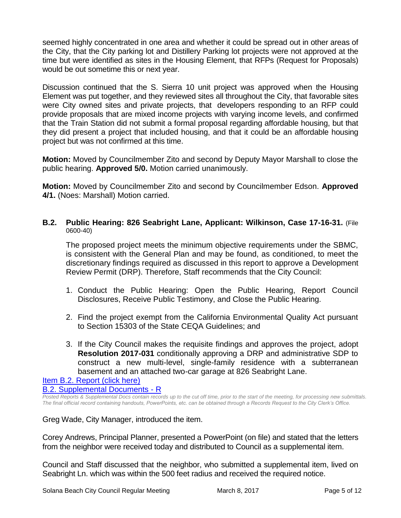seemed highly concentrated in one area and whether it could be spread out in other areas of the City, that the City parking lot and Distillery Parking lot projects were not approved at the time but were identified as sites in the Housing Element, that RFPs (Request for Proposals) would be out sometime this or next year.

Discussion continued that the S. Sierra 10 unit project was approved when the Housing Element was put together, and they reviewed sites all throughout the City, that favorable sites were City owned sites and private projects, that developers responding to an RFP could provide proposals that are mixed income projects with varying income levels, and confirmed that the Train Station did not submit a formal proposal regarding affordable housing, but that they did present a project that included housing, and that it could be an affordable housing project but was not confirmed at this time.

**Motion:** Moved by Councilmember Zito and second by Deputy Mayor Marshall to close the public hearing. **Approved 5/0.** Motion carried unanimously.

**Motion:** Moved by Councilmember Zito and second by Councilmember Edson. **Approved 4/1.** (Noes: Marshall) Motion carried.

**B.2. Public Hearing: 826 Seabright Lane, Applicant: Wilkinson, Case 17-16-31.** (File 0600-40)

The proposed project meets the minimum objective requirements under the SBMC, is consistent with the General Plan and may be found, as conditioned, to meet the discretionary findings required as discussed in this report to approve a Development Review Permit (DRP). Therefore, Staff recommends that the City Council:

- 1. Conduct the Public Hearing: Open the Public Hearing, Report Council Disclosures, Receive Public Testimony, and Close the Public Hearing.
- 2. Find the project exempt from the California Environmental Quality Act pursuant to Section 15303 of the State CEQA Guidelines; and
- 3. If the City Council makes the requisite findings and approves the project, adopt **Resolution 2017-031** conditionally approving a DRP and administrative SDP to construct a new multi-level, single-family residence with a subterranean basement and an attached two-car garage at 826 Seabright Lane.

[Item B.2. Report \(click here\)](https://solanabeach.govoffice3.com/vertical/Sites/%7B840804C2-F869-4904-9AE3-720581350CE7%7D/uploads/Item_B.2._Report_(click_here)_3-8-17.PDF) [B.2. Supplemental Documents -](https://solanabeach.govoffice3.com/vertical/Sites/%7B840804C2-F869-4904-9AE3-720581350CE7%7D/uploads/B.2._Supplemental_Documents_-_R_3-8-17.pdf) R

*Posted Reports & Supplemental Docs contain records up to the cut off time, prior to the start of the meeting, for processing new submittals. The final official record containing handouts, PowerPoints, etc. can be obtained through a Records Request to the City Clerk's Office.*

Greg Wade, City Manager, introduced the item.

Corey Andrews, Principal Planner, presented a PowerPoint (on file) and stated that the letters from the neighbor were received today and distributed to Council as a supplemental item.

Council and Staff discussed that the neighbor, who submitted a supplemental item, lived on Seabright Ln. which was within the 500 feet radius and received the required notice.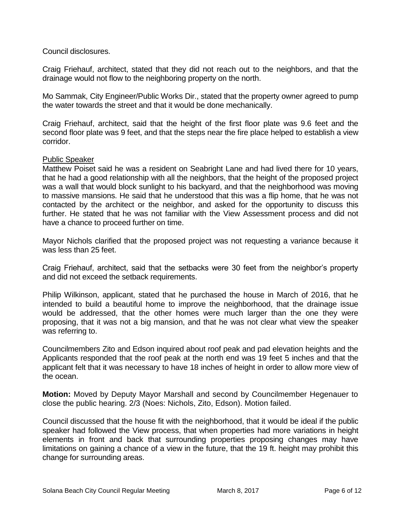Council disclosures.

Craig Friehauf, architect, stated that they did not reach out to the neighbors, and that the drainage would not flow to the neighboring property on the north.

Mo Sammak, City Engineer/Public Works Dir., stated that the property owner agreed to pump the water towards the street and that it would be done mechanically.

Craig Friehauf, architect, said that the height of the first floor plate was 9.6 feet and the second floor plate was 9 feet, and that the steps near the fire place helped to establish a view corridor.

#### Public Speaker

Matthew Poiset said he was a resident on Seabright Lane and had lived there for 10 years, that he had a good relationship with all the neighbors, that the height of the proposed project was a wall that would block sunlight to his backyard, and that the neighborhood was moving to massive mansions. He said that he understood that this was a flip home, that he was not contacted by the architect or the neighbor, and asked for the opportunity to discuss this further. He stated that he was not familiar with the View Assessment process and did not have a chance to proceed further on time.

Mayor Nichols clarified that the proposed project was not requesting a variance because it was less than 25 feet.

Craig Friehauf, architect, said that the setbacks were 30 feet from the neighbor's property and did not exceed the setback requirements.

Philip Wilkinson, applicant, stated that he purchased the house in March of 2016, that he intended to build a beautiful home to improve the neighborhood, that the drainage issue would be addressed, that the other homes were much larger than the one they were proposing, that it was not a big mansion, and that he was not clear what view the speaker was referring to.

Councilmembers Zito and Edson inquired about roof peak and pad elevation heights and the Applicants responded that the roof peak at the north end was 19 feet 5 inches and that the applicant felt that it was necessary to have 18 inches of height in order to allow more view of the ocean.

**Motion:** Moved by Deputy Mayor Marshall and second by Councilmember Hegenauer to close the public hearing. 2/3 (Noes: Nichols, Zito, Edson). Motion failed.

Council discussed that the house fit with the neighborhood, that it would be ideal if the public speaker had followed the View process, that when properties had more variations in height elements in front and back that surrounding properties proposing changes may have limitations on gaining a chance of a view in the future, that the 19 ft. height may prohibit this change for surrounding areas.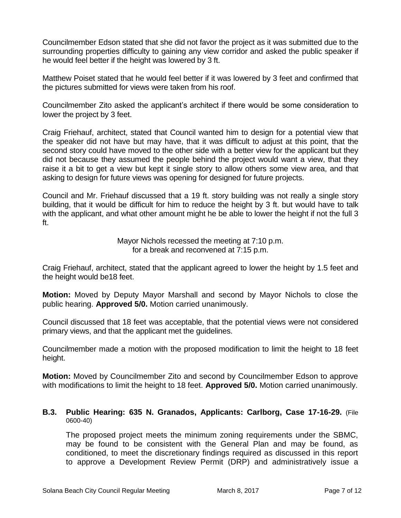Councilmember Edson stated that she did not favor the project as it was submitted due to the surrounding properties difficulty to gaining any view corridor and asked the public speaker if he would feel better if the height was lowered by 3 ft.

Matthew Poiset stated that he would feel better if it was lowered by 3 feet and confirmed that the pictures submitted for views were taken from his roof.

Councilmember Zito asked the applicant's architect if there would be some consideration to lower the project by 3 feet.

Craig Friehauf, architect, stated that Council wanted him to design for a potential view that the speaker did not have but may have, that it was difficult to adjust at this point, that the second story could have moved to the other side with a better view for the applicant but they did not because they assumed the people behind the project would want a view, that they raise it a bit to get a view but kept it single story to allow others some view area, and that asking to design for future views was opening for designed for future projects.

Council and Mr. Friehauf discussed that a 19 ft. story building was not really a single story building, that it would be difficult for him to reduce the height by 3 ft. but would have to talk with the applicant, and what other amount might he be able to lower the height if not the full 3 ft.

> Mayor Nichols recessed the meeting at 7:10 p.m. for a break and reconvened at 7:15 p.m.

Craig Friehauf, architect, stated that the applicant agreed to lower the height by 1.5 feet and the height would be18 feet.

**Motion:** Moved by Deputy Mayor Marshall and second by Mayor Nichols to close the public hearing. **Approved 5/0.** Motion carried unanimously.

Council discussed that 18 feet was acceptable, that the potential views were not considered primary views, and that the applicant met the guidelines.

Councilmember made a motion with the proposed modification to limit the height to 18 feet height.

**Motion:** Moved by Councilmember Zito and second by Councilmember Edson to approve with modifications to limit the height to 18 feet. **Approved 5/0.** Motion carried unanimously.

#### **B.3. Public Hearing: 635 N. Granados, Applicants: Carlborg, Case 17-16-29.** (File 0600-40)

The proposed project meets the minimum zoning requirements under the SBMC, may be found to be consistent with the General Plan and may be found, as conditioned, to meet the discretionary findings required as discussed in this report to approve a Development Review Permit (DRP) and administratively issue a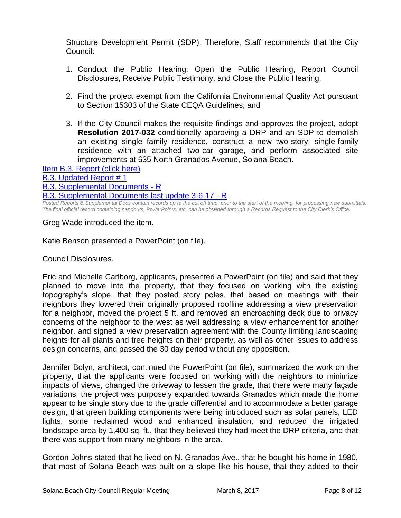Structure Development Permit (SDP). Therefore, Staff recommends that the City Council:

- 1. Conduct the Public Hearing: Open the Public Hearing, Report Council Disclosures, Receive Public Testimony, and Close the Public Hearing.
- 2. Find the project exempt from the California Environmental Quality Act pursuant to Section 15303 of the State CEQA Guidelines; and
- 3. If the City Council makes the requisite findings and approves the project, adopt **Resolution 2017-032** conditionally approving a DRP and an SDP to demolish an existing single family residence, construct a new two-story, single-family residence with an attached two-car garage, and perform associated site improvements at 635 North Granados Avenue, Solana Beach.

[Item B.3. Report \(click here\)](https://solanabeach.govoffice3.com/vertical/Sites/%7B840804C2-F869-4904-9AE3-720581350CE7%7D/uploads/Item_B.3._Report_(click_here)_3-8-17.PDF)

[B.3. Updated Report # 1](https://solanabeach.govoffice3.com/vertical/Sites/%7B840804C2-F869-4904-9AE3-720581350CE7%7D/uploads/B.3._Updated_Report__1_-_3-8-17.pdf)

[B.3. Supplemental Documents -](https://solanabeach.govoffice3.com/vertical/Sites/%7B840804C2-F869-4904-9AE3-720581350CE7%7D/uploads/B.3._Supplemental_Documents_-_R_3-8-17.pdf) R

B.3. Supplemental [Documents last update 3-6-17 -](https://solanabeach.govoffice3.com/vertical/Sites/%7B840804C2-F869-4904-9AE3-720581350CE7%7D/uploads/B.3._Supplemental_Documents_3-8_last_update_3-6-17_-_R.pdf) R

*Posted Reports & Supplemental Docs contain records up to the cut off time, prior to the start of the meeting, for processing new submittals. The final official record containing handouts, PowerPoints, etc. can be obtained through a Records Request to the City Clerk's Office.*

Greg Wade introduced the item.

Katie Benson presented a PowerPoint (on file).

Council Disclosures.

Eric and Michelle Carlborg, applicants, presented a PowerPoint (on file) and said that they planned to move into the property, that they focused on working with the existing topography's slope, that they posted story poles, that based on meetings with their neighbors they lowered their originally proposed roofline addressing a view preservation for a neighbor, moved the project 5 ft. and removed an encroaching deck due to privacy concerns of the neighbor to the west as well addressing a view enhancement for another neighbor, and signed a view preservation agreement with the County limiting landscaping heights for all plants and tree heights on their property, as well as other issues to address design concerns, and passed the 30 day period without any opposition.

Jennifer Bolyn, architect, continued the PowerPoint (on file), summarized the work on the property, that the applicants were focused on working with the neighbors to minimize impacts of views, changed the driveway to lessen the grade, that there were many façade variations, the project was purposely expanded towards Granados which made the home appear to be single story due to the grade differential and to accommodate a better garage design, that green building components were being introduced such as solar panels, LED lights, some reclaimed wood and enhanced insulation, and reduced the irrigated landscape area by 1,400 sq. ft., that they believed they had meet the DRP criteria, and that there was support from many neighbors in the area.

Gordon Johns stated that he lived on N. Granados Ave., that he bought his home in 1980, that most of Solana Beach was built on a slope like his house, that they added to their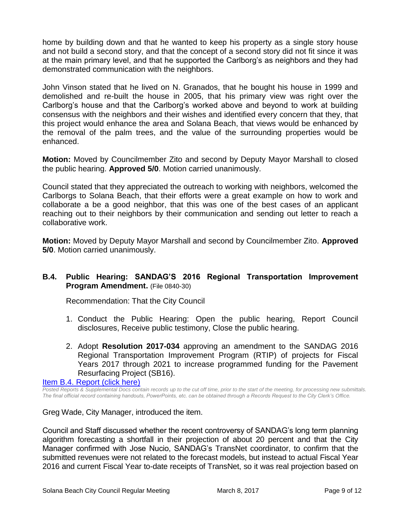home by building down and that he wanted to keep his property as a single story house and not build a second story, and that the concept of a second story did not fit since it was at the main primary level, and that he supported the Carlborg's as neighbors and they had demonstrated communication with the neighbors.

John Vinson stated that he lived on N. Granados, that he bought his house in 1999 and demolished and re-built the house in 2005, that his primary view was right over the Carlborg's house and that the Carlborg's worked above and beyond to work at building consensus with the neighbors and their wishes and identified every concern that they, that this project would enhance the area and Solana Beach, that views would be enhanced by the removal of the palm trees, and the value of the surrounding properties would be enhanced.

**Motion:** Moved by Councilmember Zito and second by Deputy Mayor Marshall to closed the public hearing. **Approved 5/0**. Motion carried unanimously.

Council stated that they appreciated the outreach to working with neighbors, welcomed the Carlborgs to Solana Beach, that their efforts were a great example on how to work and collaborate a be a good neighbor, that this was one of the best cases of an applicant reaching out to their neighbors by their communication and sending out letter to reach a collaborative work.

**Motion:** Moved by Deputy Mayor Marshall and second by Councilmember Zito. **Approved 5/0**. Motion carried unanimously.

# **B.4. Public Hearing: SANDAG'S 2016 Regional Transportation Improvement Program Amendment.** (File 0840-30)

Recommendation: That the City Council

- 1. Conduct the Public Hearing: Open the public hearing, Report Council disclosures, Receive public testimony, Close the public hearing.
- 2. Adopt **Resolution 2017-034** approving an amendment to the SANDAG 2016 Regional Transportation Improvement Program (RTIP) of projects for Fiscal Years 2017 through 2021 to increase programmed funding for the Pavement Resurfacing Project (SB16).

[Item B.4. Report \(click here\)](https://solanabeach.govoffice3.com/vertical/Sites/%7B840804C2-F869-4904-9AE3-720581350CE7%7D/uploads/Item_B.4._Report_(click_here)_3-8-17.PDF)

*Posted Reports & Supplemental Docs contain records up to the cut off time, prior to the start of the meeting, for processing new submittals. The final official record containing handouts, PowerPoints, etc. can be obtained through a Records Request to the City Clerk's Office.*

Greg Wade, City Manager, introduced the item.

Council and Staff discussed whether the recent controversy of SANDAG's long term planning algorithm forecasting a shortfall in their projection of about 20 percent and that the City Manager confirmed with Jose Nucio, SANDAG's TransNet coordinator, to confirm that the submitted revenues were not related to the forecast models, but instead to actual Fiscal Year 2016 and current Fiscal Year to-date receipts of TransNet, so it was real projection based on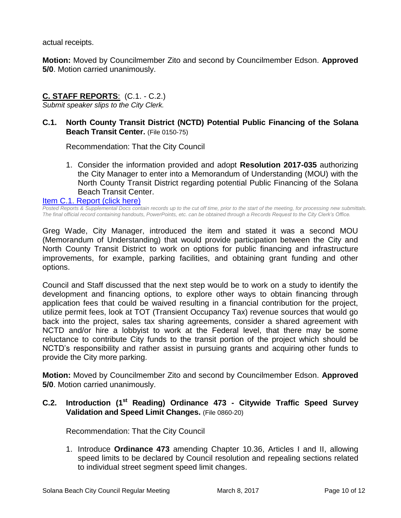actual receipts.

**Motion:** Moved by Councilmember Zito and second by Councilmember Edson. **Approved 5/0**. Motion carried unanimously.

# **C. STAFF REPORTS**: (C.1. - C.2.)

*Submit speaker slips to the City Clerk.*

# **C.1. North County Transit District (NCTD) Potential Public Financing of the Solana Beach Transit Center.** (File 0150-75)

Recommendation: That the City Council

1. Consider the information provided and adopt **Resolution 2017-035** authorizing the City Manager to enter into a Memorandum of Understanding (MOU) with the North County Transit District regarding potential Public Financing of the Solana Beach Transit Center.

[Item C.1. Report \(click here\)](https://solanabeach.govoffice3.com/vertical/Sites/%7B840804C2-F869-4904-9AE3-720581350CE7%7D/uploads/Item_C.1._Report_(click_here)_3-8-2017.PDF) 

*Posted Reports & Supplemental Docs contain records up to the cut off time, prior to the start of the meeting, for processing new submittals. The final official record containing handouts, PowerPoints, etc. can be obtained through a Records Request to the City Clerk's Office.*

Greg Wade, City Manager, introduced the item and stated it was a second MOU (Memorandum of Understanding) that would provide participation between the City and North County Transit District to work on options for public financing and infrastructure improvements, for example, parking facilities, and obtaining grant funding and other options.

Council and Staff discussed that the next step would be to work on a study to identify the development and financing options, to explore other ways to obtain financing through application fees that could be waived resulting in a financial contribution for the project, utilize permit fees, look at TOT (Transient Occupancy Tax) revenue sources that would go back into the project, sales tax sharing agreements, consider a shared agreement with NCTD and/or hire a lobbyist to work at the Federal level, that there may be some reluctance to contribute City funds to the transit portion of the project which should be NCTD's responsibility and rather assist in pursuing grants and acquiring other funds to provide the City more parking.

**Motion:** Moved by Councilmember Zito and second by Councilmember Edson. **Approved 5/0**. Motion carried unanimously.

# **C.2. Introduction (1st Reading) Ordinance 473 - Citywide Traffic Speed Survey Validation and Speed Limit Changes.** (File 0860-20)

Recommendation: That the City Council

1. Introduce **Ordinance 473** amending Chapter 10.36, Articles I and II, allowing speed limits to be declared by Council resolution and repealing sections related to individual street segment speed limit changes.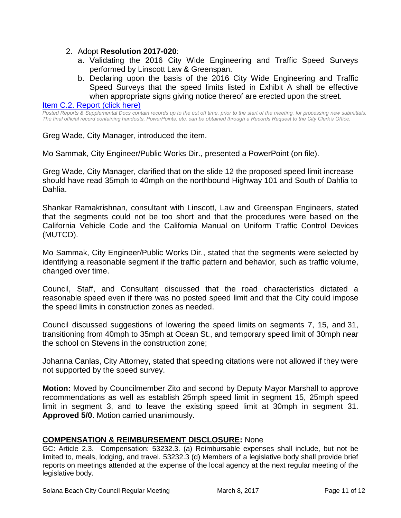#### 2. Adopt **Resolution 2017-020**:

- a. Validating the 2016 City Wide Engineering and Traffic Speed Surveys performed by Linscott Law & Greenspan.
- b. Declaring upon the basis of the 2016 City Wide Engineering and Traffic Speed Surveys that the speed limits listed in Exhibit A shall be effective when appropriate signs giving notice thereof are erected upon the street.

#### [Item C.2. Report \(click here\)](https://solanabeach.govoffice3.com/vertical/Sites/%7B840804C2-F869-4904-9AE3-720581350CE7%7D/uploads/Item_C.2._Report_(click_here)_3-8-17.PDF)

*Posted Reports & Supplemental Docs contain records up to the cut off time, prior to the start of the meeting, for processing new submittals. The final official record containing handouts, PowerPoints, etc. can be obtained through a Records Request to the City Clerk's Office.*

Greg Wade, City Manager, introduced the item.

Mo Sammak, City Engineer/Public Works Dir., presented a PowerPoint (on file).

Greg Wade, City Manager, clarified that on the slide 12 the proposed speed limit increase should have read 35mph to 40mph on the northbound Highway 101 and South of Dahlia to Dahlia.

Shankar Ramakrishnan, consultant with Linscott, Law and Greenspan Engineers, stated that the segments could not be too short and that the procedures were based on the California Vehicle Code and the California Manual on Uniform Traffic Control Devices (MUTCD).

Mo Sammak, City Engineer/Public Works Dir., stated that the segments were selected by identifying a reasonable segment if the traffic pattern and behavior, such as traffic volume, changed over time.

Council, Staff, and Consultant discussed that the road characteristics dictated a reasonable speed even if there was no posted speed limit and that the City could impose the speed limits in construction zones as needed.

Council discussed suggestions of lowering the speed limits on segments 7, 15, and 31, transitioning from 40mph to 35mph at Ocean St., and temporary speed limit of 30mph near the school on Stevens in the construction zone;

Johanna Canlas, City Attorney, stated that speeding citations were not allowed if they were not supported by the speed survey.

**Motion:** Moved by Councilmember Zito and second by Deputy Mayor Marshall to approve recommendations as well as establish 25mph speed limit in segment 15, 25mph speed limit in segment 3, and to leave the existing speed limit at 30mph in segment 31. **Approved 5/0**. Motion carried unanimously.

#### **COMPENSATION & REIMBURSEMENT DISCLOSURE:** None

GC: Article 2.3. Compensation: 53232.3. (a) Reimbursable expenses shall include, but not be limited to, meals, lodging, and travel. 53232.3 (d) Members of a legislative body shall provide brief reports on meetings attended at the expense of the local agency at the next regular meeting of the legislative body.